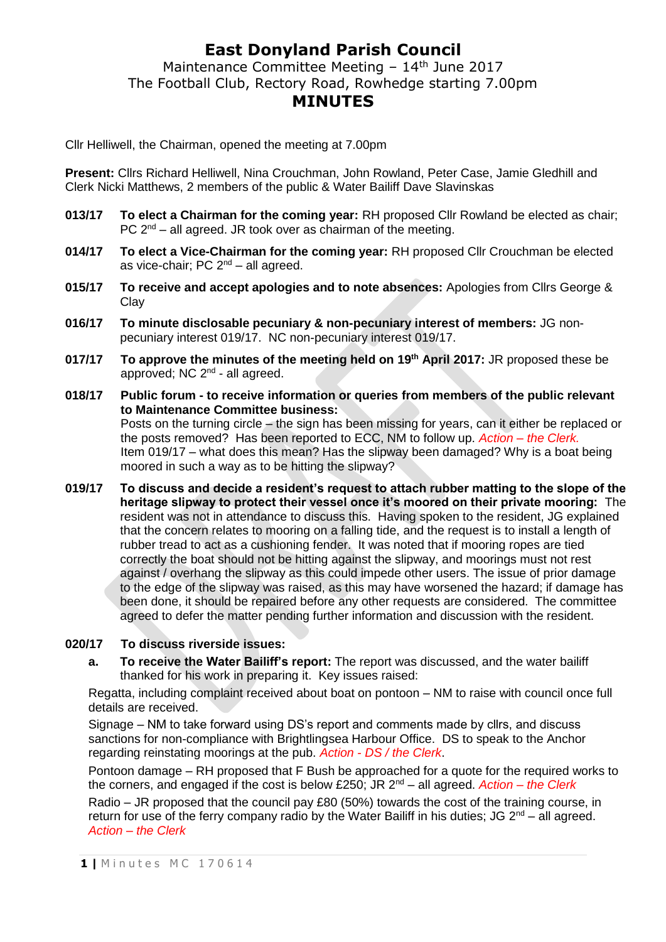## **East Donyland Parish Council**

Maintenance Committee Meeting - 14<sup>th</sup> June 2017 The Football Club, Rectory Road, Rowhedge starting 7.00pm **MINUTES**

Cllr Helliwell, the Chairman, opened the meeting at 7.00pm

**Present:** Cllrs Richard Helliwell, Nina Crouchman, John Rowland, Peter Case, Jamie Gledhill and Clerk Nicki Matthews, 2 members of the public & Water Bailiff Dave Slavinskas

- **013/17 To elect a Chairman for the coming year:** RH proposed Cllr Rowland be elected as chair; PC  $2^{nd}$  – all agreed. JR took over as chairman of the meeting.
- **014/17 To elect a Vice-Chairman for the coming year:** RH proposed Cllr Crouchman be elected as vice-chair; PC  $2^{nd}$  – all agreed.
- **015/17 To receive and accept apologies and to note absences:** Apologies from Cllrs George & Clay
- **016/17 To minute disclosable pecuniary & non-pecuniary interest of members:** JG nonpecuniary interest 019/17. NC non-pecuniary interest 019/17.
- **017/17 To approve the minutes of the meeting held on 19th April 2017:** JR proposed these be approved; NC 2<sup>nd</sup> - all agreed.
- **018/17 Public forum - to receive information or queries from members of the public relevant to Maintenance Committee business:** Posts on the turning circle – the sign has been missing for years, can it either be replaced or the posts removed? Has been reported to ECC, NM to follow up. *Action – the Clerk.* Item 019/17 – what does this mean? Has the slipway been damaged? Why is a boat being moored in such a way as to be hitting the slipway?
- **019/17 To discuss and decide a resident's request to attach rubber matting to the slope of the heritage slipway to protect their vessel once it's moored on their private mooring:** The resident was not in attendance to discuss this. Having spoken to the resident, JG explained that the concern relates to mooring on a falling tide, and the request is to install a length of rubber tread to act as a cushioning fender. It was noted that if mooring ropes are tied correctly the boat should not be hitting against the slipway, and moorings must not rest against / overhang the slipway as this could impede other users. The issue of prior damage to the edge of the slipway was raised, as this may have worsened the hazard; if damage has been done, it should be repaired before any other requests are considered. The committee agreed to defer the matter pending further information and discussion with the resident.

### **020/17 To discuss riverside issues:**

**a. To receive the Water Bailiff's report:** The report was discussed, and the water bailiff thanked for his work in preparing it. Key issues raised:

Regatta, including complaint received about boat on pontoon – NM to raise with council once full details are received.

Signage – NM to take forward using DS's report and comments made by cllrs, and discuss sanctions for non-compliance with Brightlingsea Harbour Office. DS to speak to the Anchor regarding reinstating moorings at the pub. *Action - DS / the Clerk*.

Pontoon damage – RH proposed that F Bush be approached for a quote for the required works to the corners, and engaged if the cost is below £250; JR 2nd – all agreed. *Action – the Clerk*

Radio – JR proposed that the council pay £80 (50%) towards the cost of the training course, in return for use of the ferry company radio by the Water Bailiff in his duties; JG  $2^{nd}$  – all agreed. *Action – the Clerk*